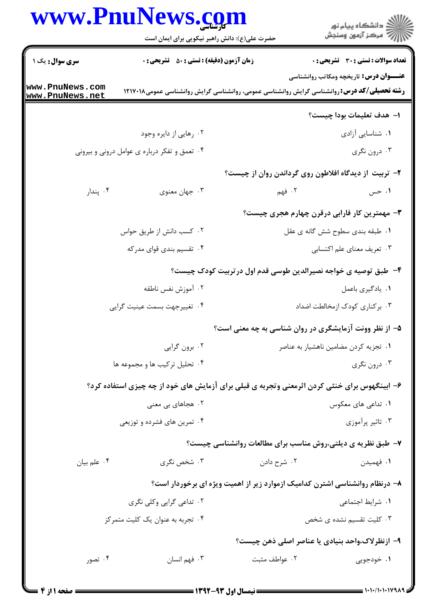|                        | www.PnuNews.com                                    | ِ<br>∭ دانشڪاه پيام نور<br>∭ مرڪز آزمون وسنڊش                                                       |
|------------------------|----------------------------------------------------|-----------------------------------------------------------------------------------------------------|
|                        | حضرت علی(ع): دانش راهبر نیکویی برای ایمان است      |                                                                                                     |
| <b>سری سوال :</b> یک ۱ | <b>زمان آزمون (دقیقه) : تستی : 50 ٪ تشریحی : 0</b> | <b>تعداد سوالات : تستی : 30 ٪ تشریحی : 0</b>                                                        |
| www.PnuNews.com        |                                                    | <b>عنـــوان درس:</b> تاریخچه ومکاتب روانشناسی                                                       |
| www.PnuNews.net        |                                                    | <b>رشته تحصیلی/کد درس: ر</b> وانشناسی گرایش روانشناسی عمومی، روانشناسی گرایش روانشناسی عمومی۱۲۱۷۰۱۸ |
|                        |                                                    | <b>۱– هدف تعلیمات بودا چیست؟</b>                                                                    |
|                        | ۰۲ رهایی از دایره وجود                             | ٠١ شناسايي آزادي                                                                                    |
|                        | ۰۴ تعمق و تفکر درباره ی عوامل درونی و بیرونی       | ۰۳ درون نگري                                                                                        |
|                        |                                                    | ۲- تربیت از دیدگاه افلاطون روی گرداندن روان از چیست؟                                                |
| ۰۴ پندار               | ۰۳ جهان معنوي                                      | ۲. فهم<br>۰۱ حس                                                                                     |
|                        |                                                    | ۳- مهمترین کار فارابی درقرن چهارم هجری چیست؟                                                        |
|                        | ۰۲ کسب دانش از طریق حواس                           | ٠١ طبقه بندى سطوح شش كانه ى عقل                                                                     |
|                        | ۰۴ تقسیم بندی قوای مدرکه                           | ۰۳ تعریف معنای علم اکتسابی                                                                          |
|                        |                                                    | ۴- طبق توصیه ی خواجه نصیرالدین طوسی قدم اول در تربیت کودک چیست؟                                     |
|                        | ٠٢ آموزش نفس ناطقه                                 | ٠١. يادگيري باعمل                                                                                   |
|                        | ۰۴ تغییرجهت بسمت عینیت گرایی                       | ۰۳ بر کناری کودک ازمخالطت اضداد                                                                     |
|                        |                                                    | ۵– از نظر وونت آزمایشگری در روان شناسی به چه معنی است؟                                              |
|                        | ۰۲ برون گرایی                                      | ٠١ تجزيه كردن مضامين ناهشيار به عناصر                                                               |
|                        | ۰۴ تحلیل ترکیب ها و مجموعه ها                      | ۰۳ درون نگري                                                                                        |
|                        |                                                    | ۶– ابینگهوس برای خنثی کردن اثرمعنی وتجربه ی قبلی برای آزمایش های خود از چه چیزی استفاده کرد؟        |
|                        | ۰۲ هجاهای بی معنی                                  | ۰۱ تداعی های معکوس                                                                                  |
|                        | ۰۴ تمرین های فشرده و توزیعی                        | ۰۳ تاثیر پرآموزی                                                                                    |
|                        |                                                    | ۷- طبق نظریه ی دیلتی،روش مناسب برای مطالعات روانشناسی چیست؟                                         |
| ۰۴ علم بيان            | ۰۳ شخص نگری                                        | ۰۲ شرح دادن<br>۰۱ فهمیدن                                                                            |
|                        |                                                    | ۸– درنظام روانشناسی اشترن کدامیک ازموارد زیر از اهمیت ویژه ای برخوردار است؟                         |
|                        | ۰۲ تداعی گرایی وکلی نگری                           | ٠١ شرايط اجتماعي                                                                                    |
|                        | ۰۴ تجربه به عنوان یک کلیت متمرکز                   | ۰۳ کلیت تقسیم نشده ی شخص                                                                            |
|                        |                                                    | ۹– ازنظرلاک،واحد بنیادی یا عناصر اصلی ذهن چیست؟                                                     |
|                        |                                                    |                                                                                                     |

۱. خودجویی مسلسل سال ۱۲ مواطف مثبت مسلسل سال ۱۳ میل اسلام میلادی که مورد اسلام مشهور اسلام که مورد اسلام که مو

 $\overbrace{\hspace{1.5cm}}$   $\hspace{1.5cm}$   $\hspace{1.5cm}$   $\hspace{1.5cm}$   $\hspace{1.5cm}$   $\hspace{1.5cm}$   $\hspace{1.5cm}$   $\hspace{1.5cm}$   $\hspace{1.5cm}$   $\hspace{1.5cm}$   $\hspace{1.5cm}$   $\hspace{1.5cm}$   $\hspace{1.5cm}$   $\hspace{1.5cm}$   $\hspace{1.5cm}$   $\hspace{1.5cm}$   $\hspace{1.5cm}$   $\hspace{1.5cm}$   $\$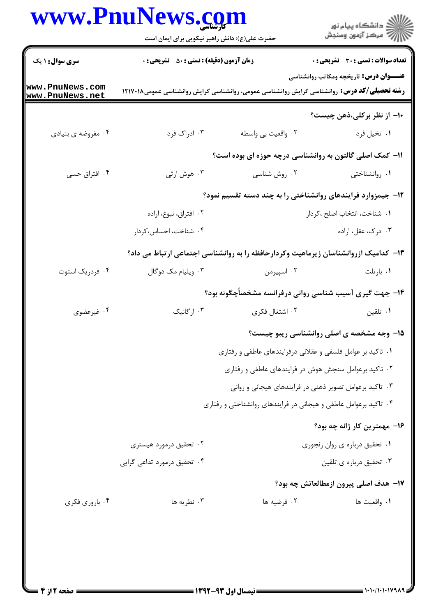|                                    | www.PnuNews.com<br>حضرت علی(ع): دانش راهبر نیکویی برای ایمان است |                    | ڪ دانشڪاه پيام نور<br>/> مرڪز آزمون وسنڊش                                                          |
|------------------------------------|------------------------------------------------------------------|--------------------|----------------------------------------------------------------------------------------------------|
| <b>سری سوال : ۱ یک</b>             | <b>زمان آزمون (دقیقه) : تستی : 80 ٪ تشریحی : 0</b>               |                    | <b>تعداد سوالات : تستی : 30 ٪ تشریحی : 0</b><br><b>عنـــوان درس:</b> تاریخچه ومکاتب روانشناسی      |
| www.PnuNews.com<br>www.PnuNews.net |                                                                  |                    | <b>رشته تحصیلی/کد درس:</b> روانشناسی گرایش روانشناسی عمومی، روانشناسی گرایش روانشناسی عمومی۱۲۱۷۰۱۸ |
|                                    |                                                                  |                    | ۱۰– از نظر برکلی،ذهن چیست؟                                                                         |
| ۰۴ مفروضه ی بنیادی                 | ۰۳ ادراک فرد                                                     | ۰۲ واقعیت بی واسطه | ۰۱ تخیل فرد                                                                                        |
|                                    |                                                                  |                    | <b>۱۱- کمک اصلی گالتون به روانشناسی درچه حوزه ای بوده است؟</b>                                     |
| ۰۴ افتراق حسى                      | ۰۳ هوش ارثی                                                      | ۰۲ روش شناسی       | ۰۱ روانشناختی                                                                                      |
|                                    |                                                                  |                    | ۱۲- جیمزوارد فرایندهای روانشناختی را به چند دسته تقسیم نمود؟                                       |
|                                    | ۰۲ افتراق، نبوغ، اراده                                           |                    | ٠١. شناخت، انتخاب اصلح ،كردار                                                                      |
|                                    | ۰۴ شناخت، احساس،کردار                                            |                    | ۰۳ درک، عقل، اراده                                                                                 |
|                                    |                                                                  |                    | ۱۳- کدامیک ازروانشناسان زیرماهیت وکردارحافظه را به روانشناسی اجتماعی ارتباط می داد؟                |
| ۰۴ فردریک استوت                    | ۰۳ ویلیام مک دوگال                                               | ۰۲ اسپیرمن         | ٠١. بارتلت                                                                                         |
|                                    |                                                                  |                    | ۱۴- جهت گیری آسیب شناسی روانی درفرانسه مشخصأچگونه بود؟                                             |
| ۰۴ غیرعضوی                         | ۰۳ ارگانیک                                                       | ۰۲ اشتغال فکری     | ۰۱ تلقین                                                                                           |
|                                    |                                                                  |                    | ۱۵- وجه مشخصه ی اصلی روانشناسی ریبو چیست؟                                                          |
|                                    |                                                                  |                    | ۰۱ تاکید بر عوامل فلسفی و عقلانی درفرایندهای عاطفی و رفتاری                                        |
|                                    |                                                                  |                    | ۰۲ تاکید برعوامل سنجش هوش در فرایندهای عاطفی و رفتاری                                              |
|                                    |                                                                  |                    | ۰۳ تاکید برعوامل تصویر ذهنی در فرایندهای هیجانی و روانی                                            |
|                                    |                                                                  |                    | ۰۴ تاکید برعوامل عاطفی و هیجانی در فرایندهای روانشناختی و رفتاری                                   |
|                                    |                                                                  |                    | ۱۶– مهمترین کار ژانه چه بود؟                                                                       |
|                                    | ۰۲ تحقیق درمورد هیستری                                           |                    | ۰۱ تحقیق درباره ی روان رنجوری                                                                      |
|                                    | ۰۴ تحقیق درمورد تداعی گرایی                                      |                    | ۰۳ تحقیق درباره ی تلقین                                                                            |
|                                    |                                                                  |                    | 17- هدف اصلی پیرون ازمطالعاتش چه بود؟                                                              |
| ۰۴ باروري فكرى                     | ۰۳ نظریه ها                                                      | ۰۲ فرضیه ها        | ٠١. واقعيت ها                                                                                      |
|                                    |                                                                  |                    |                                                                                                    |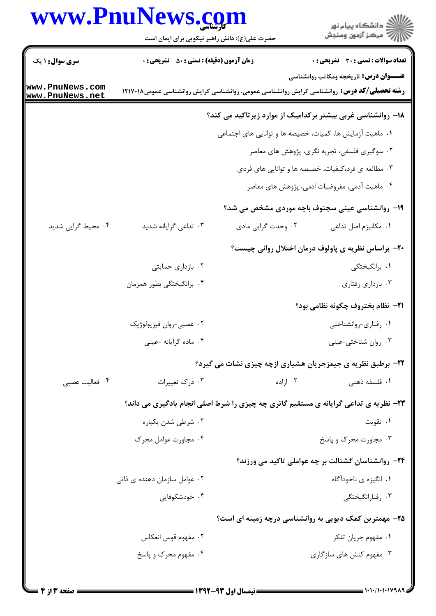## www.PnuNews.com

|                                    | www.PnuNews.com                                                                                    |                                                                     |                                                                                     |
|------------------------------------|----------------------------------------------------------------------------------------------------|---------------------------------------------------------------------|-------------------------------------------------------------------------------------|
|                                    | حضرت علی(ع): دانش راهبر نیکویی برای ایمان است                                                      |                                                                     | ڪ دانشڪاه پيام نور<br>پ <sup>ر</sup> مرڪز آزمون وسنڊش                               |
| <b>سری سوال : ۱ یک</b>             | <b>زمان آزمون (دقیقه) : تستی : 50 ٪ تشریحی : 0</b>                                                 |                                                                     | <b>تعداد سوالات : تستی : 30 ٪ تشریحی : 0</b>                                        |
| www.PnuNews.com<br>www.PnuNews.net | <b>رشته تحصیلی/کد درس:</b> روانشناسی گرایش روانشناسی عمومی، روانشناسی گرایش روانشناسی عمومی۱۲۱۷۰۱۸ |                                                                     | <b>عنـــوان درس:</b> تاریخچه ومکاتب روانشناسی                                       |
|                                    |                                                                                                    |                                                                     | ۱۸– روانشناسی غربی بیشتر برکدامیک از موارد زیرتاکید می کند؟                         |
|                                    |                                                                                                    | ۰۱. ماهیت آزمایش ها، کمیات، خصیصه ها و توانایی های اجتما <i>ع</i> ی |                                                                                     |
|                                    |                                                                                                    |                                                                     | ۰۲ سوگیری فلسفی، تجربه نگری، پژوهش های معاصر                                        |
|                                    |                                                                                                    |                                                                     | ۰۳ مطالعه ی فرد،کیفیات، خصیصه ها و توانایی های فردی                                 |
|                                    |                                                                                                    |                                                                     | ۰۴ ماهیت آدمی، مفروضیات ادمی، پژوهش های معاصر                                       |
|                                    |                                                                                                    |                                                                     | ۱۹- روانشناسی عینی سچنوف باچه موردی مشخص می شد؟                                     |
| ۰۴ محیط گرایی شدید                 | ۰۳ تداعی گرایانه شدید                                                                              | ۲. وحدت گرایی مادی                                                  | ٠١. مكانيزم اصل تداعى                                                               |
|                                    |                                                                                                    |                                                                     | -۲- براساس نظریه ی پاولوف درمان اختلال روانی چیست؟                                  |
|                                    | ۰۲ بازداری حمایتی                                                                                  |                                                                     | ۰۱ برانگیختگ <sub>ی</sub>                                                           |
|                                    | ۰۴ برانگیختگی بطور همزمان                                                                          |                                                                     | ۰۳ بازداری رفتاری                                                                   |
|                                    |                                                                                                    |                                                                     | <b>ا۲-</b> نظام بختروف چگونه نظامی بود؟                                             |
|                                    | ۰۲ عصبي-روان فيزيولوژيک                                                                            |                                                                     | ۰۱ رفتاری-روانشناختی                                                                |
|                                    | ۰۴ ماده گرایانه حینی                                                                               |                                                                     | ۰۳ روان شناختی-عینی                                                                 |
|                                    |                                                                                                    |                                                                     | <b>۲۲- برطبق نظریه ی جیمزجریان هشیاری ازچه چیزی نشات می گیرد؟</b>                   |
| ۰۴ فعالیت عصبی                     | ۰۳ درک تغییرات                                                                                     | ۰۲ اراده                                                            | <b>۱.</b> فلسفه ذهنی                                                                |
|                                    |                                                                                                    |                                                                     | ۲۳- نظریه ی تداعی گرایانه ی مستقیم گاتری چه چیزی را شرط اصلی انجام یادگیری می داند؟ |
|                                    | ۰۲ شرطي شدن يكباره                                                                                 |                                                                     | ۰۱ تقويت                                                                            |
|                                    | ۰۴ مجاورت عوامل محرک                                                                               |                                                                     | ۰۳ مجاورت محرک و پاسخ                                                               |
|                                    |                                                                                                    |                                                                     | ۲۴- روانشناسان گشتالت بر چه عواملی تاکید می ورزند؟                                  |
|                                    | ۰۲ عوامل سازمان دهنده ی ذاتی                                                                       |                                                                     | ۰۱ انگیزه ی ناخودآگاه                                                               |
|                                    | ۰۴ خودشکوفایی                                                                                      |                                                                     | ۰۳ رفتارانگیختگی                                                                    |
|                                    |                                                                                                    |                                                                     | ۲۵- مهمترین کمک دیویی به روانشناسی درچه زمینه ای است؟                               |
|                                    | ۰۲ مفهوم قوس انعکاس                                                                                |                                                                     | ٠١ مفهوم جريان تفكر                                                                 |
|                                    | ۰۴ مفهوم محرک و پاسخ                                                                               |                                                                     | ۰۳ مفهوم کنش های سازگاری                                                            |
|                                    |                                                                                                    |                                                                     |                                                                                     |